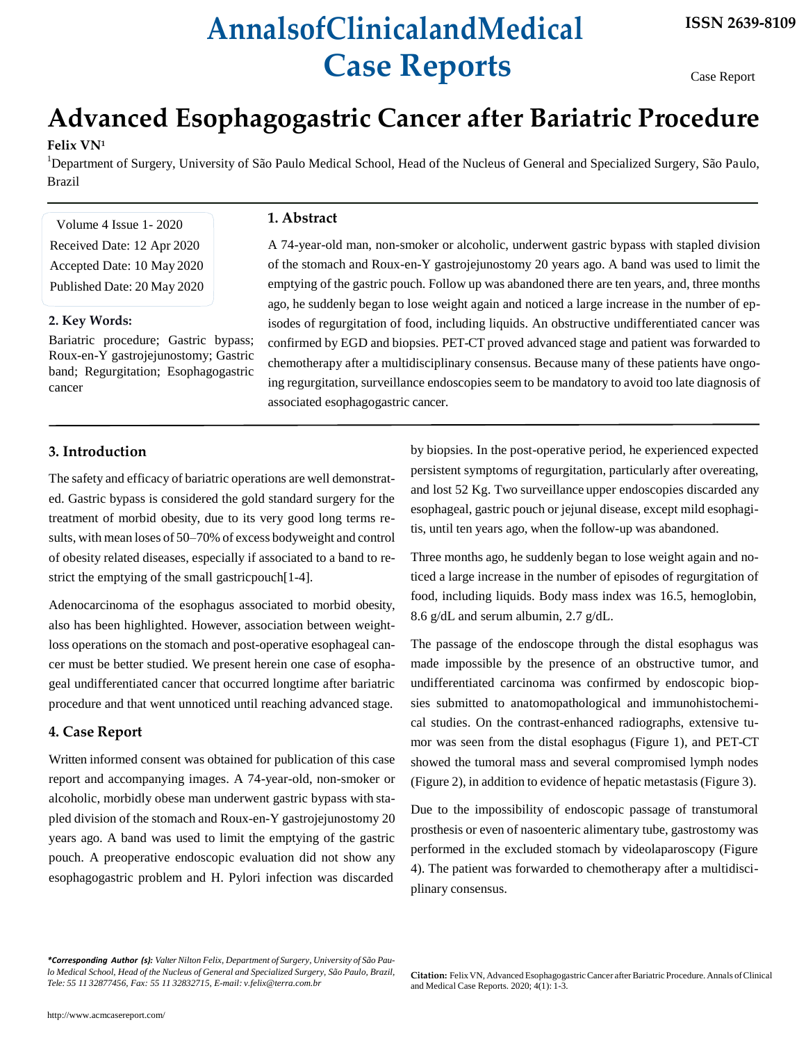# **AnnalsofClinicalandMedical Case Reports**

Case Report

# **Advanced Esophagogastric Cancer after Bariatric Procedure**

#### **Felix VN<sup>1</sup>**

<sup>1</sup>Department of Surgery, University of São Paulo Medical School, Head of the Nucleus of General and Specialized Surgery, São Paulo, Brazil

Volume 4 Issue 1- 2020 Received Date: 12 Apr 2020 Accepted Date: 10 May 2020 Published Date: 20 May 2020

#### **2. Key Words:**

Bariatric procedure; Gastric bypass; Roux-en-Y gastrojejunostomy; Gastric band; Regurgitation; Esophagogastric cancer

# **1. Abstract**

A 74-year-old man, non-smoker or alcoholic, underwent gastric bypass with stapled division of the stomach and Roux-en-Y gastrojejunostomy 20 years ago. A band was used to limit the emptying of the gastric pouch. Follow up was abandoned there are ten years, and, three months ago, he suddenly began to lose weight again and noticed a large increase in the number of episodes of regurgitation of food, including liquids. An obstructive undifferentiated cancer was confirmed by EGD and biopsies. PET-CT proved advanced stage and patient was forwarded to chemotherapy after a multidisciplinary consensus. Because many of these patients have ongoing regurgitation, surveillance endoscopies seem to be mandatory to avoid too late diagnosis of associated esophagogastric cancer.

# **3. Introduction**

The safety and efficacy of bariatric operations are well demonstrated. Gastric bypass is considered the gold standard surgery for the treatment of morbid obesity, due to its very good long terms results, with mean loses of 50–70% of excess bodyweight and control of obesity related diseases, especially if associated to a band to restrict the emptying of the small gastricpouch[1-4].

Adenocarcinoma of the esophagus associated to morbid obesity, also has been highlighted. However, association between weightloss operations on the stomach and post-operative esophageal cancer must be better studied. We present herein one case of esophageal undifferentiated cancer that occurred longtime after bariatric procedure and that went unnoticed until reaching advanced stage.

## **4. Case Report**

Written informed consent was obtained for publication of this case report and accompanying images. A 74-year-old, non-smoker or alcoholic, morbidly obese man underwent gastric bypass with stapled division of the stomach and Roux-en-Y gastrojejunostomy 20 years ago. A band was used to limit the emptying of the gastric pouch. A preoperative endoscopic evaluation did not show any esophagogastric problem and H. Pylori infection was discarded

by biopsies. In the post-operative period, he experienced expected persistent symptoms of regurgitation, particularly after overeating, and lost 52 Kg. Two surveillance upper endoscopies discarded any esophageal, gastric pouch or jejunal disease, except mild esophagitis, until ten years ago, when the follow-up was abandoned.

Three months ago, he suddenly began to lose weight again and noticed a large increase in the number of episodes of regurgitation of food, including liquids. Body mass index was 16.5, hemoglobin, 8.6 g/dL and serum albumin, 2.7 g/dL.

The passage of the endoscope through the distal esophagus was made impossible by the presence of an obstructive tumor, and undifferentiated carcinoma was confirmed by endoscopic biopsies submitted to anatomopathological and immunohistochemical studies. On the contrast-enhanced radiographs, extensive tumor was seen from the distal esophagus (Figure 1), and PET-CT showed the tumoral mass and several compromised lymph nodes (Figure 2), in addition to evidence of hepatic metastasis(Figure 3).

Due to the impossibility of endoscopic passage of transtumoral prosthesis or even of nasoenteric alimentary tube, gastrostomy was performed in the excluded stomach by videolaparoscopy (Figure 4). The patient was forwarded to chemotherapy after a multidisciplinary consensus.

*\*Corresponding Author (s): ValterNilton Felix, Department of Surgery, University of São Paulo Medical School, Head of the Nucleus of General and Specialized Surgery, São Paulo, Brazil, Tele: 55 11 32877456, Fax: 55 [11 32832715, E-mail:](mailto:v.felix@terra.com.br) [v.felix@terra.com.br](mailto:v.felix@terra.com.br)*

**Citation:** FelixVN, Advanced EsophagogastricCancer afterBariatric Procedure. Annals ofClinical and Medical Case Reports. 2020; 4(1): 1-3.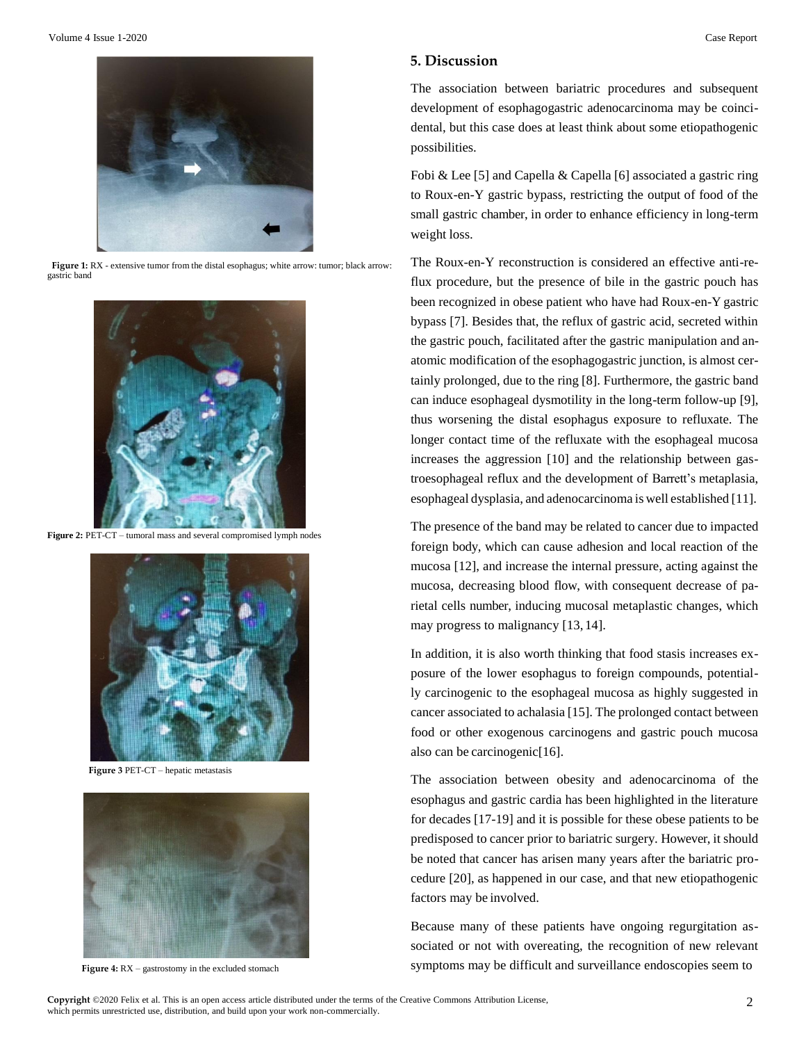

**Figure 1:** RX - extensive tumor from the distal esophagus; white arrow: tumor; black arrow: gastric band



Figure 2: PET-CT – tumoral mass and several compromised lymph nodes



**Figure 3** PET-CT – hepatic metastasis



Figure 4: RX – gastrostomy in the excluded stomach

### **5. Discussion**

The association between bariatric procedures and subsequent development of esophagogastric adenocarcinoma may be coincidental, but this case does at least think about some etiopathogenic possibilities.

Fobi & Lee [5] and Capella & Capella [6] associated a gastric ring to Roux-en-Y gastric bypass, restricting the output of food of the small gastric chamber, in order to enhance efficiency in long-term weight loss.

The Roux-en-Y reconstruction is considered an effective anti-reflux procedure, but the presence of bile in the gastric pouch has been recognized in obese patient who have had Roux-en-Y gastric bypass [7]. Besides that, the reflux of gastric acid, secreted within the gastric pouch, facilitated after the gastric manipulation and anatomic modification of the esophagogastric junction, is almost certainly prolonged, due to the ring [8]. Furthermore, the gastric band can induce esophageal dysmotility in the long-term follow-up [9], thus worsening the distal esophagus exposure to refluxate. The longer contact time of the refluxate with the esophageal mucosa increases the aggression [10] and the relationship between gastroesophageal reflux and the development of Barrett's metaplasia, esophageal dysplasia, and adenocarcinoma is well established [11].

The presence of the band may be related to cancer due to impacted foreign body, which can cause adhesion and local reaction of the mucosa [12], and increase the internal pressure, acting against the mucosa, decreasing blood flow, with consequent decrease of parietal cells number, inducing mucosal metaplastic changes, which may progress to malignancy [13, 14].

In addition, it is also worth thinking that food stasis increases exposure of the lower esophagus to foreign compounds, potentially carcinogenic to the esophageal mucosa as highly suggested in cancer associated to achalasia [15]. The prolonged contact between food or other exogenous carcinogens and gastric pouch mucosa also can be carcinogenic[16].

The association between obesity and adenocarcinoma of the esophagus and gastric cardia has been highlighted in the literature for decades [17-19] and it is possible for these obese patients to be predisposed to cancer prior to bariatric surgery. However, it should be noted that cancer has arisen many years after the bariatric procedure [20], as happened in our case, and that new etiopathogenic factors may be involved.

Because many of these patients have ongoing regurgitation associated or not with overeating, the recognition of new relevant symptoms may be difficult and surveillance endoscopies seem to